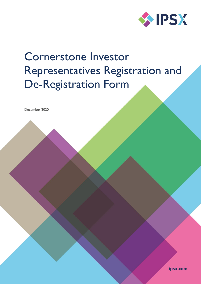

# Cornerstone Investor Representatives Registration and De-Registration Form

December 2020

ipsx.com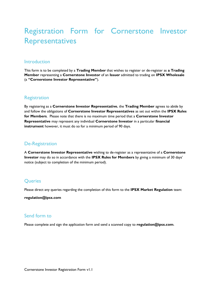## Registration Form for Cornerstone Investor Representatives

#### **Introduction**

This form is to be completed by a **Trading Member** that wishes to register or de-register as **a Trading Member** representing a **Cornerstone Investor** of an **Issuer** admitted to trading on **IPSX Wholesale** (a **"Cornerstone Investor Representative"**).

#### **Registration**

By registering as a **Cornerstone Investor Representative**, the **Trading Member** agrees to abide by and follow the obligations of **Cornerstone Investor Representatives** as set out within the **IPSX Rules for Members**. Please note that there is no maximum time period that a **Cornerstone Investor Representative** may represent any individual **Cornerstone Investor** in a particular **financial instrument** however, it must do so for a minimum period of 90 days.

#### De-Registration

A **Cornerstone Investor Representative** wishing to de-register as a representative of a **Cornerstone Investor** may do so in accordance with the **IPSX Rules for Members** by giving a minimum of 30 days' notice (subject to completion of the minimum period).

#### **Oueries**

Please direct any queries regarding the completion of this form to the **IPSX Market Regulation** team:

**[regulation@ipsx.com](mailto:regulation@ipsx.com)**

#### Send form to

Please complete and sign the application form and send a scanned copy to **[regulation@ipsx.com](mailto:regulation@ipsx.com)**.